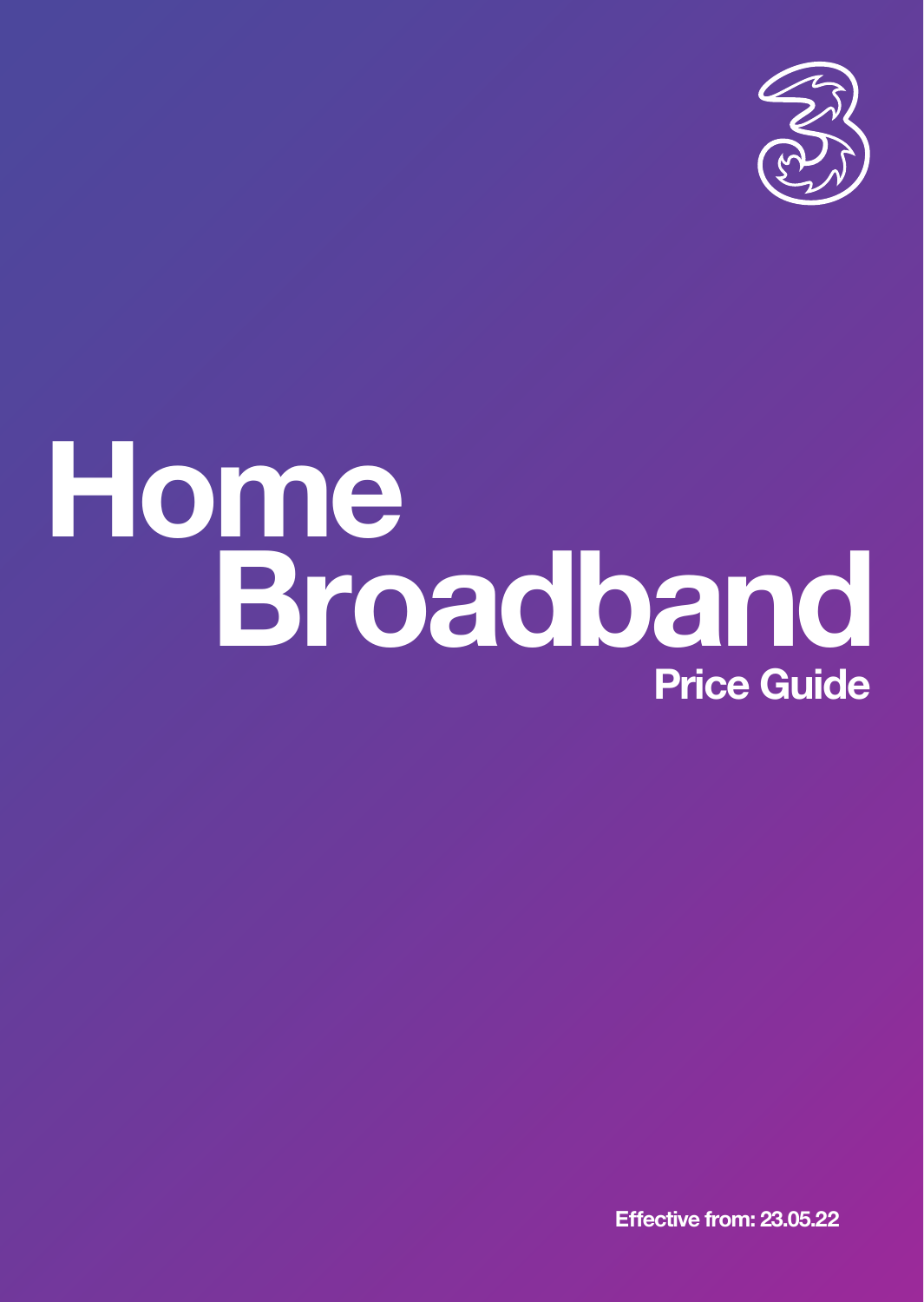

# **Price Guide Home Broadband**

**Effective from: 23.05.22**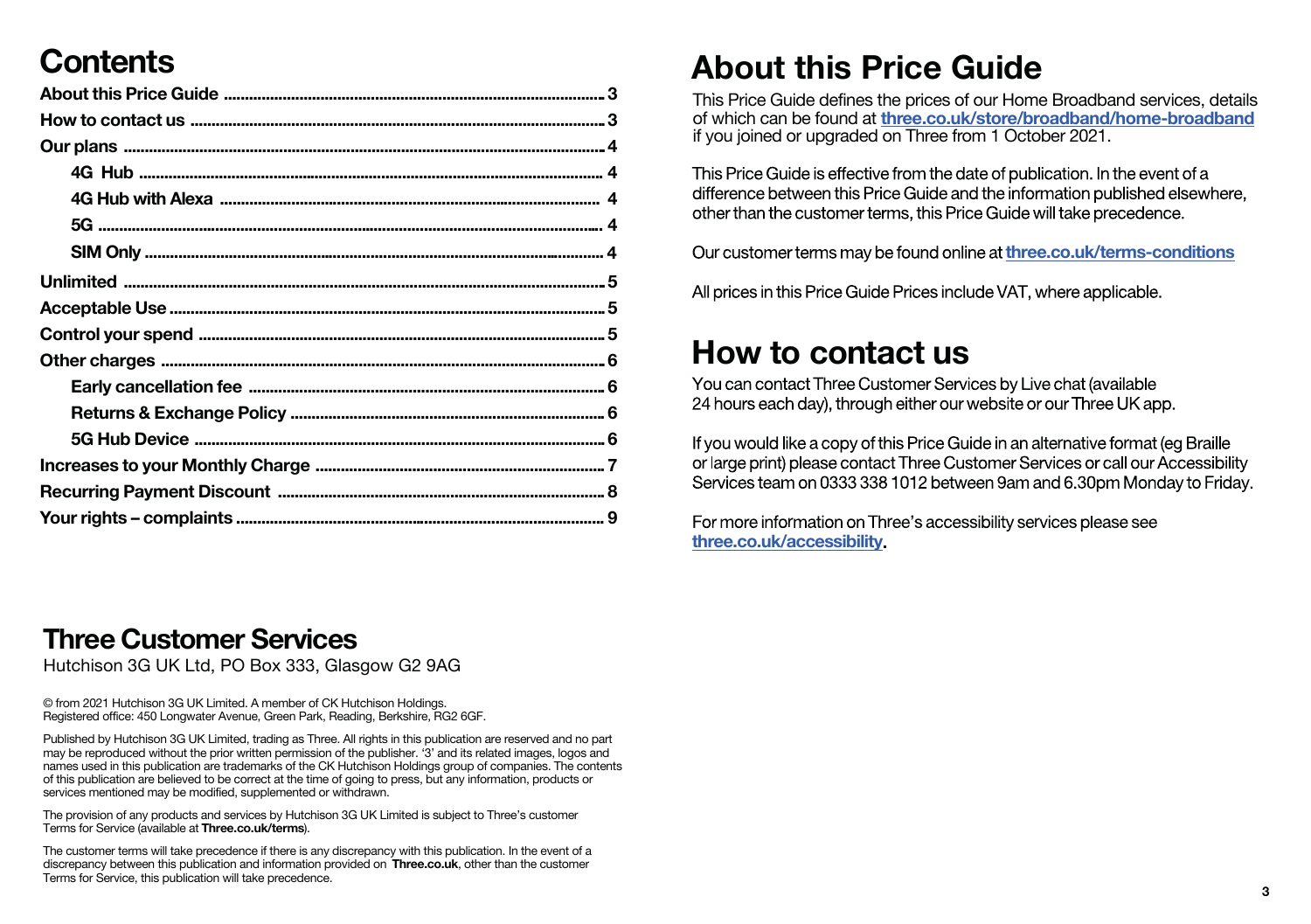# **Contents**

#### **Three Customer Services**

Hutchison 3G UK Ltd, PO Box 333, Glasgow G2 9AG

© from 2021 Hutchison 3G UK Limited. A member of CK Hutchison Holdings. Registered office: 450 Longwater Avenue, Green Park, Reading, Berkshire, RG2 6GF.

Published by Hutchison 3G UK Limited, trading as Three. All rights in this publication are reserved and no part may be reproduced without the prior written permission of the publisher. '3' and its related images, logos and names used in this publication are trademarks of the CK Hutchison Holdings group of companies. The contents of this publication are believed to be correct at the time of going to press, but any information, products or services mentioned may be modified, supplemented or withdrawn.

The provision of any products and services by Hutchison 3G UK Limited is subject to Three's customer Terms for Service (available at **<Three.co.uk/terms>**).

The customer terms will take precedence if there is any discrepancy with this publication. In the event of a discrepancy between this publication and information provided on **<Three.co.uk>**, other than the customer Terms for Service, this publication will take precedence.

# **About this Price Guide**

This Price Guide defines the prices of our Home Broadband services, details of which can be found at **<three.co.uk/store/broadband/home-broadband>** if you joined or upgraded on Three from 1 October 2021.

This Price Guide is effective from the date of publication. In the event of a<br>difference between this Price Guide and the information published elsewhere, other than the customer terms, this Price Guide will take precedence.

Our customer terms may be found online at <three.co.uk/terms-conditions>

All prices in this Price Guide Prices include VAT, where applicable.

## **How to contact us**

You can contact Three Customer Services by Live chat (available 24 hours each day), through either our website or our Three UK app.

If you would like a copy of this Price Guide in an alternative format (eg Braille or large print) please contact Three Customer Services or call our Accessibility<br>Services team on 0333 338 1012 between 9am and 6.30pm Monday to Friday.

For more information on Three's accessibility services please see **<three.co.uk/accessibility>**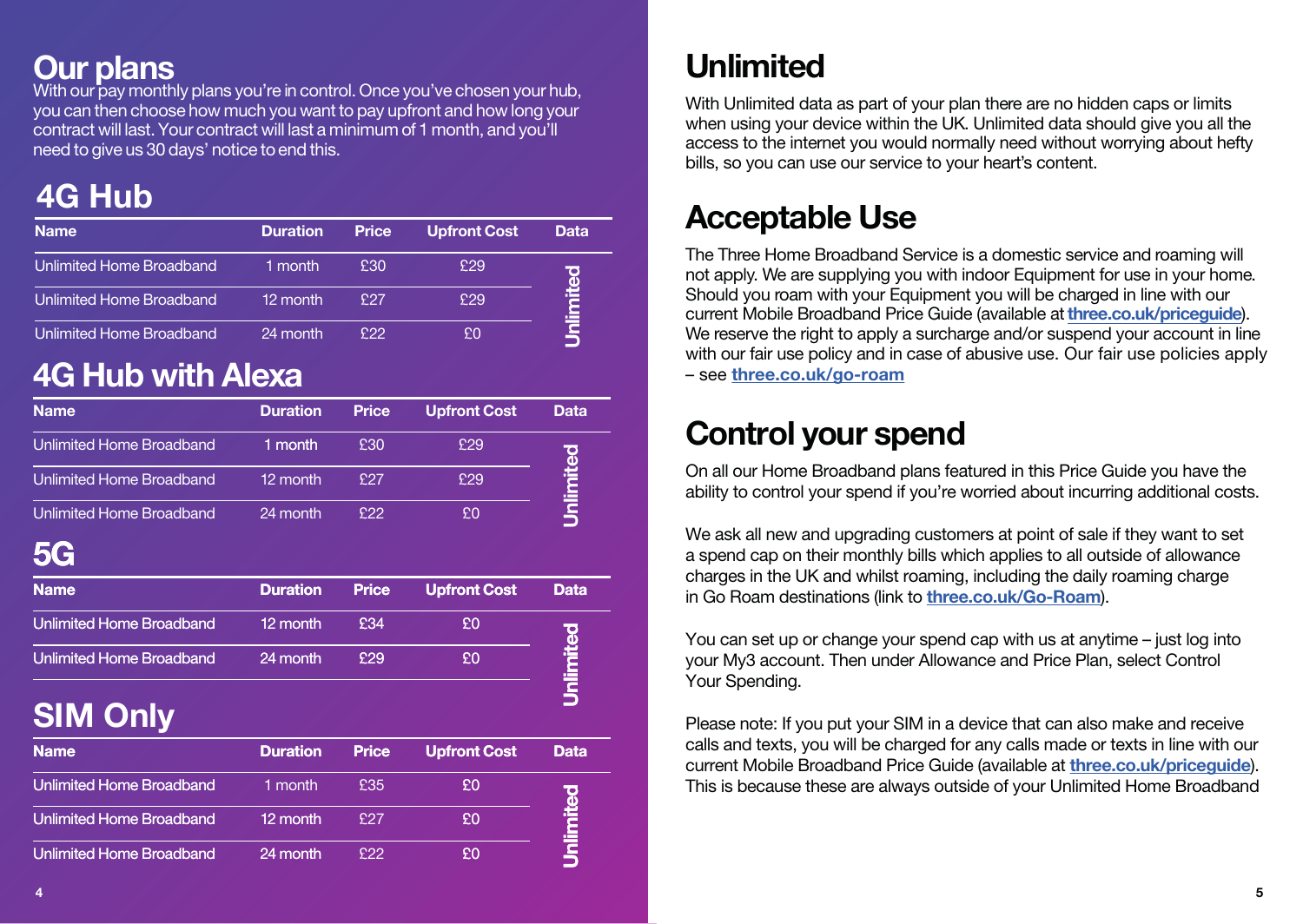#### **Our plans**

With our pay monthly plans you're in control. Once you've chosen your hub, you can then choose how much you want to pay upfront and how long your contract will last.Your contract will last a minimum of 1 month, and you'll need to give us 30 days' notice toend this.

# **4G Hub**

| <b>Name</b>                     | <b>Duration</b> | Price | <b>Upfront Cost</b> | Data      |
|---------------------------------|-----------------|-------|---------------------|-----------|
| <b>Unlimited Home Broadband</b> | 1 month         | £30   | £29                 |           |
| <b>Unlimited Home Broadband</b> | 12 month        | £27   | f29                 | Unlimited |
| <b>Unlimited Home Broadband</b> | 24 month        | £22   | ۴N                  |           |

# **4G Hub with Alexa**

| <b>Name</b>                     | <b>Duration</b> | Price | <b>Upfront Cost</b> | Data |
|---------------------------------|-----------------|-------|---------------------|------|
| <b>Unlimited Home Broadband</b> | 1 month         | £30   | £29                 | о    |
| <b>Unlimited Home Broadband</b> | 12 month        | £27   | £29                 |      |
| <b>Unlimited Home Broadband</b> | 24 month        | £22   | £O                  |      |

# **5G**

| <b>Name</b>              | <b>Duration</b> | <b>Price</b> | <b>Upfront Cost</b> | Data |
|--------------------------|-----------------|--------------|---------------------|------|
| Unlimited Home Broadband | 12 month        | £34          | £O                  | TO   |
| Unlimited Home Broadband | 24 month        | £29          | £O                  |      |

 $\overline{\mathbf{5}}$ 

# **SIM Only**

| <b>Name</b>                     | <b>Duration</b> | <b>Price</b> | <b>Upfront Cost</b> | <b>Data</b> |
|---------------------------------|-----------------|--------------|---------------------|-------------|
| <b>Unlimited Home Broadband</b> | 1 month         | £35          | £O                  |             |
| <b>Unlimited Home Broadband</b> | 12 month        | £27          | £O                  |             |
| <b>Unlimited Home Broadband</b> | 24 month        | £22          | £O                  |             |

# **Unlimited**

With Unlimited data as part of your plan there are no hidden caps or limits when using your device within the UK. Unlimited data should give you all the access to the internet you would normally need without worrying about hefty bills, so you can use our service to your heart's content.

# **Acceptable Use**

The Three Home Broadband Service is a domestic service and roaming will not apply. We are supplying you with indoor Equipment for use in your home. Should you roam with your Equipment you will be charged in line with our current Mobile Broadband Price Guide (available at**<three.co.uk/priceguide>**). We reserve the right to apply a surcharge and/or suspend your account in line with our fair use policy and in case of abusive use. Our fair use policies apply – see **<three.co.uk/go-roam>**

# **Control your spend**

On all our Home Broadband plans featured in this Price Guide you have the ability to control your spend if you're worried about incurring additional costs.

We ask all new and upgrading customers at point of sale if they want to set a spend cap on their monthly bills which applies to all outside of allowance charges in the UK and whilst roaming, including the daily roaming charge in Go Roam destinations (link to **[three.co.uk/Go-Roam](three.co.uk/go-roam)**).

You can set up or change your spend cap with us at anytime – just log into your My3 account. Then under Allowance and Price Plan, select Control Your Spending.

Please note: If you put your SIM in a device that can also make and receive calls and texts, you will be charged for any calls made or texts in line with our current Mobile Broadband Price Guide (available at **<three.co.uk/priceguide>**). This is because these are always outside of your Unlimited Home Broadband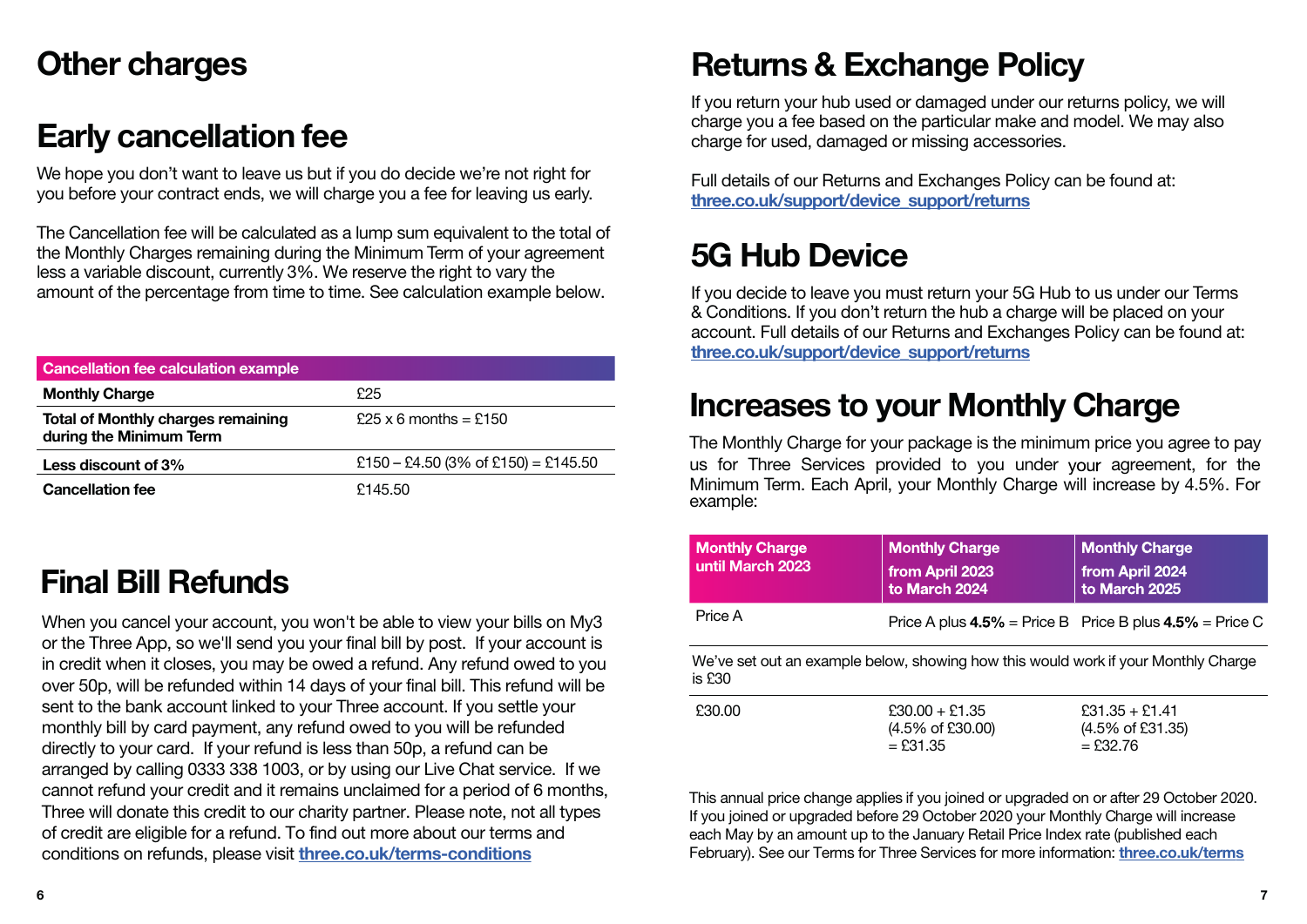## **Other charges**

#### **Early cancellation fee**

We hope you don't want to leave us but if you do decide we're not right for you before your contract ends, we will charge you a fee for leaving us early.

The Cancellation fee will be calculated as a lump sum equivalent to the total of the Monthly Charges remaining during the Minimum Term of your agreement less a variable discount, currently 3%. We reserve the right to vary the amount of the percentage from time to time. See calculation example below.

| <b>Cancellation fee calculation example</b>                          |                                     |
|----------------------------------------------------------------------|-------------------------------------|
| <b>Monthly Charge</b>                                                | £25                                 |
| <b>Total of Monthly charges remaining</b><br>during the Minimum Term | $$25 \times 6$ months = $$150$      |
| Less discount of 3%                                                  | £150 - £4.50 (3% of £150) = £145.50 |
| <b>Cancellation fee</b>                                              | £145.50                             |

## **Final Bill Refunds**

When you cancel your account, you won't be able to view your bills on My3 or the Three App, so we'll send you your final bill by post. If your account is in credit when it closes, you may be owed a refund. Any refund owed to you over 50p, will be refunded within 14 days of your final bill. This refund will be sent to the bank account linked to your Three account. If you settle your monthly bill by card payment, any refund owed to you will be refunded directly to your card. If your refund is less than 50p, a refund can be arranged by calling 0333 338 1003, or by using our Live Chat service. If we cannot refund your credit and it remains unclaimed for a period of 6 months, Three will donate this credit to our charity partner. Please note, not all types of credit are eligible for a refund. To find out more about our terms and conditions on refunds, please visit **<three.co.uk/terms-conditions>**

## **Returns & Exchange Policy**

If you return your hub used or damaged under our returns policy, we will charge you a fee based on the particular make and model. We may also charge for used, damaged or missing accessories.

Full details of our Returns and Exchanges Policy can be found at: **[three.co.uk/support/device\\_support/returns](three.co.uk/support/device_support/returns)**

# **5G Hub Device**

If you decide to leave you must return your 5G Hub to us under our Terms & Conditions. If you don't return the hub a charge will be placed on your account. Full details of our Returns and Exchanges Policy can be found at: **[three.co.uk/support/device\\_support/returns](three.co.uk/support/device_support/returns)**

#### **Increases to your Monthly Charge**

The Monthly Charge for your package is the minimum price you agree to pay us for Three Services provided to you under your agreement, for the Minimum Term. Each April, your Monthly Charge will increase by 4.5%. For example:

| <b>Monthly Charge</b><br>until March 2023 | <b>Monthly Charge</b><br>from April 2023<br>to March 2024                          | <b>Monthly Charge</b><br>from April 2024<br>to March 2025     |
|-------------------------------------------|------------------------------------------------------------------------------------|---------------------------------------------------------------|
| Price A                                   |                                                                                    | Price A plus $4.5\%$ = Price B Price B plus $4.5\%$ = Price C |
| is $£30$                                  | We've set out an example below, showing how this would work if your Monthly Charge |                                                               |
| £30.00                                    | $£30.00 + £1.35$<br>(4.5% of £30.00)<br>$=$ £31.35                                 | $£31.35 + £1.41$<br>(4.5% of £31.35)<br>$=$ £32.76            |

This annual price change applies if you joined or upgraded on or after 29 October 2020. If you joined or upgraded before 29 October 2020 your Monthly Charge will increase each May by an amount up to the January Retail Price Index rate (published each February). See our Terms for Three Services for more information: **<three.co.uk/terms>**